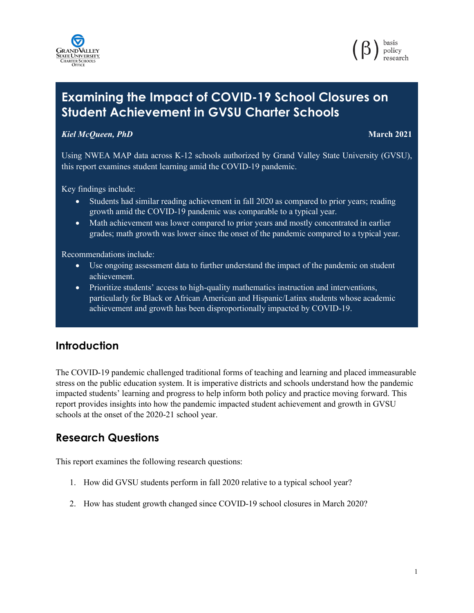



# **Examining the Impact of COVID-19 School Closures on Student Achievement in GVSU Charter Schools**

## *Kiel McQueen, PhD* **March 2021**

Using NWEA MAP data across K-12 schools authorized by Grand Valley State University (GVSU), this report examines student learning amid the COVID-19 pandemic.

Key findings include:

- Students had similar reading achievement in fall 2020 as compared to prior years; reading growth amid the COVID-19 pandemic was comparable to a typical year.
- Math achievement was lower compared to prior years and mostly concentrated in earlier grades; math growth was lower since the onset of the pandemic compared to a typical year.

Recommendations include:

- Use ongoing assessment data to further understand the impact of the pandemic on student achievement.
- Prioritize students' access to high-quality mathematics instruction and interventions, particularly for Black or African American and Hispanic/Latinx students whose academic achievement and growth has been disproportionally impacted by COVID-19.

## **Introduction**

The COVID-19 pandemic challenged traditional forms of teaching and learning and placed immeasurable stress on the public education system. It is imperative districts and schools understand how the pandemic impacted students' learning and progress to help inform both policy and practice moving forward. This report provides insights into how the pandemic impacted student achievement and growth in GVSU schools at the onset of the 2020-21 school year.

# **Research Questions**

This report examines the following research questions:

- 1. How did GVSU students perform in fall 2020 relative to a typical school year?
- 2. How has student growth changed since COVID-19 school closures in March 2020?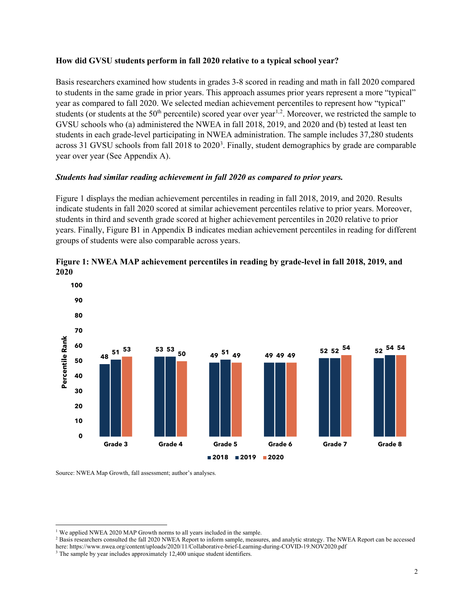#### **How did GVSU students perform in fall 2020 relative to a typical school year?**

Basis researchers examined how students in grades 3-8 scored in reading and math in fall 2020 compared to students in the same grade in prior years. This approach assumes prior years represent a more "typical" year as compared to fall 2020. We selected median achievement percentiles to represent how "typical" students (or students at the  $50<sup>th</sup>$  percentile) scored year over year<sup>1,2</sup>. Moreover, we restricted the sample to GVSU schools who (a) administered the NWEA in fall 2018, 2019, and 2020 and (b) tested at least ten students in each grade-level participating in NWEA administration. The sample includes 37,280 students across 31 GVSU schools from fall 2018 to 2020<sup>3</sup>. Finally, student demographics by grade are comparable year over year (See Appendix A).

## *Students had similar reading achievement in fall 2020 as compared to prior years.*

Figure 1 displays the median achievement percentiles in reading in fall 2018, 2019, and 2020. Results indicate students in fall 2020 scored at similar achievement percentiles relative to prior years. Moreover, students in third and seventh grade scored at higher achievement percentiles in 2020 relative to prior years. Finally, Figure B1 in Appendix B indicates median achievement percentiles in reading for different groups of students were also comparable across years.



**Figure 1: NWEA MAP achievement percentiles in reading by grade-level in fall 2018, 2019, and 2020** 

<sup>&</sup>lt;sup>1</sup> We applied NWEA 2020 MAP Growth norms to all years included in the sample.

<sup>&</sup>lt;sup>2</sup> Basis researchers consulted the fall 2020 NWEA Report to inform sample, measures, and analytic strategy. The NWEA Report can be accessed here: https://www.nwea.org/content/uploads/2020/11/Collaborative-brief-Learning-during-COVID-19.NOV2020.pdf

<sup>&</sup>lt;sup>3</sup> The sample by year includes approximately 12,400 unique student identifiers.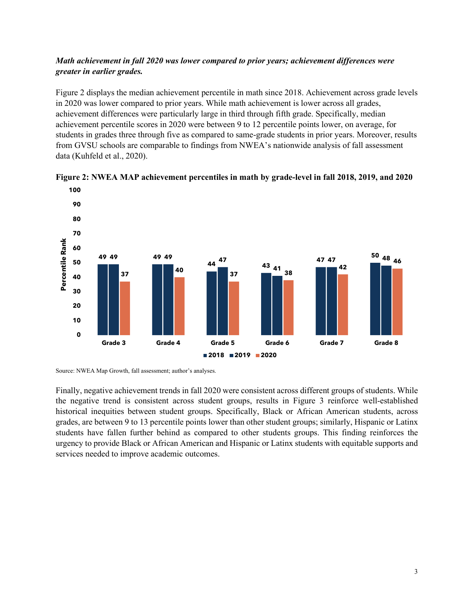## *Math achievement in fall 2020 was lower compared to prior years; achievement differences were greater in earlier grades.*

Figure 2 displays the median achievement percentile in math since 2018. Achievement across grade levels in 2020 was lower compared to prior years. While math achievement is lower across all grades, achievement differences were particularly large in third through fifth grade. Specifically, median achievement percentile scores in 2020 were between 9 to 12 percentile points lower, on average, for students in grades three through five as compared to same-grade students in prior years. Moreover, results from GVSU schools are comparable to findings from NWEA's nationwide analysis of fall assessment data (Kuhfeld et al., 2020).





Source: NWEA Map Growth, fall assessment; author's analyses.

Finally, negative achievement trends in fall 2020 were consistent across different groups of students. While the negative trend is consistent across student groups, results in Figure 3 reinforce well-established historical inequities between student groups. Specifically, Black or African American students, across grades, are between 9 to 13 percentile points lower than other student groups; similarly, Hispanic or Latinx students have fallen further behind as compared to other students groups. This finding reinforces the urgency to provide Black or African American and Hispanic or Latinx students with equitable supports and services needed to improve academic outcomes.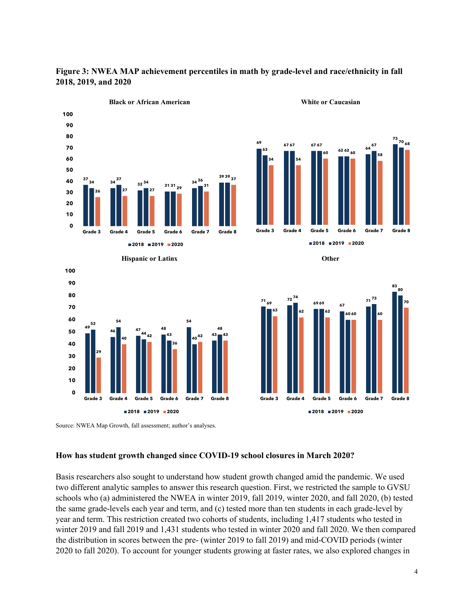

**Figure 3: NWEA MAP achievement percentiles in math by grade-level and race/ethnicity in fall 2018, 2019, and 2020** 

Source: NWEA Map Growth, fall assessment; author's analyses.

#### **How has student growth changed since COVID-19 school closures in March 2020?**

Basis researchers also sought to understand how student growth changed amid the pandemic. We used two different analytic samples to answer this research question. First, we restricted the sample to GVSU schools who (a) administered the NWEA in winter 2019, fall 2019, winter 2020, and fall 2020, (b) tested the same grade-levels each year and term, and (c) tested more than ten students in each grade-level by year and term. This restriction created two cohorts of students, including 1,417 students who tested in winter 2019 and fall 2019 and 1,431 students who tested in winter 2020 and fall 2020. We then compared the distribution in scores between the pre- (winter 2019 to fall 2019) and mid-COVID periods (winter 2020 to fall 2020). To account for younger students growing at faster rates, we also explored changes in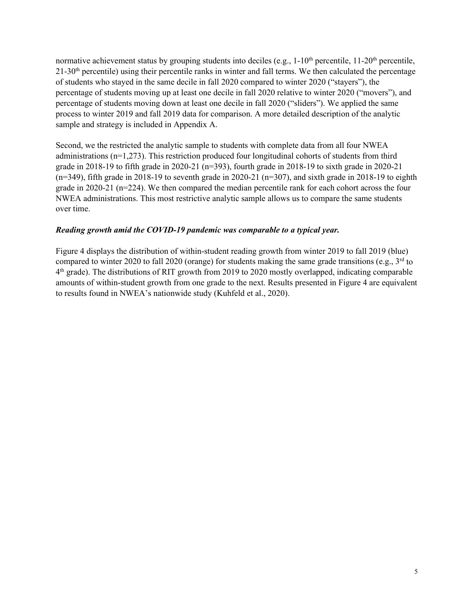normative achievement status by grouping students into deciles (e.g.,  $1\t{-}10^{th}$  percentile,  $11\t{-}20^{th}$  percentile, 21-30th percentile) using their percentile ranks in winter and fall terms. We then calculated the percentage of students who stayed in the same decile in fall 2020 compared to winter 2020 ("stayers"), the percentage of students moving up at least one decile in fall 2020 relative to winter 2020 ("movers"), and percentage of students moving down at least one decile in fall 2020 ("sliders"). We applied the same process to winter 2019 and fall 2019 data for comparison. A more detailed description of the analytic sample and strategy is included in Appendix A.

Second, we the restricted the analytic sample to students with complete data from all four NWEA administrations ( $n=1,273$ ). This restriction produced four longitudinal cohorts of students from third grade in 2018-19 to fifth grade in 2020-21 (n=393), fourth grade in 2018-19 to sixth grade in 2020-21  $(n=349)$ , fifth grade in 2018-19 to seventh grade in 2020-21  $(n=307)$ , and sixth grade in 2018-19 to eighth grade in 2020-21 (n=224). We then compared the median percentile rank for each cohort across the four NWEA administrations. This most restrictive analytic sample allows us to compare the same students over time.

#### *Reading growth amid the COVID-19 pandemic was comparable to a typical year.*

Figure 4 displays the distribution of within-student reading growth from winter 2019 to fall 2019 (blue) compared to winter 2020 to fall 2020 (orange) for students making the same grade transitions (e.g.,  $3<sup>rd</sup>$  to 4th grade). The distributions of RIT growth from 2019 to 2020 mostly overlapped, indicating comparable amounts of within-student growth from one grade to the next. Results presented in Figure 4 are equivalent to results found in NWEA's nationwide study (Kuhfeld et al., 2020).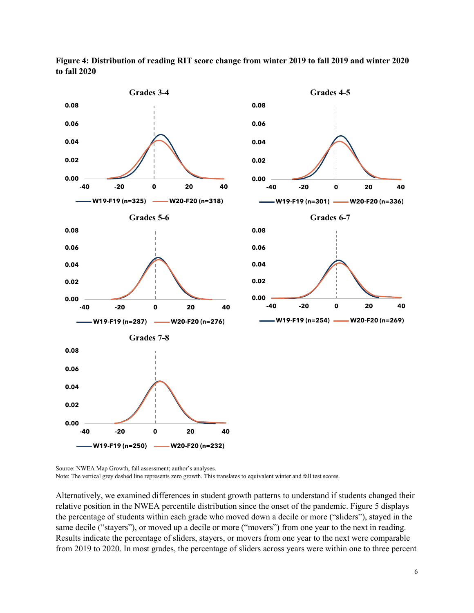

**Figure 4: Distribution of reading RIT score change from winter 2019 to fall 2019 and winter 2020 to fall 2020**

Source: NWEA Map Growth, fall assessment; author's analyses.

Note: The vertical grey dashed line represents zero growth. This translates to equivalent winter and fall test scores.

Alternatively, we examined differences in student growth patterns to understand if students changed their relative position in the NWEA percentile distribution since the onset of the pandemic. Figure 5 displays the percentage of students within each grade who moved down a decile or more ("sliders"), stayed in the same decile ("stayers"), or moved up a decile or more ("movers") from one year to the next in reading. Results indicate the percentage of sliders, stayers, or movers from one year to the next were comparable from 2019 to 2020. In most grades, the percentage of sliders across years were within one to three percent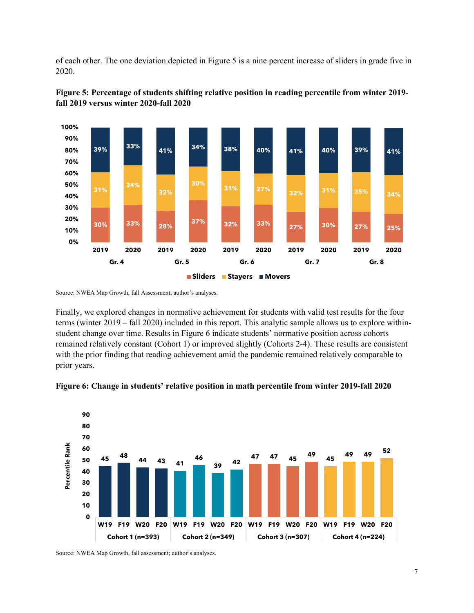of each other. The one deviation depicted in Figure 5 is a nine percent increase of sliders in grade five in 2020.





Source: NWEA Map Growth, fall Assessment; author's analyses.

Finally, we explored changes in normative achievement for students with valid test results for the four terms (winter 2019 – fall 2020) included in this report. This analytic sample allows us to explore withinstudent change over time. Results in Figure 6 indicate students' normative position across cohorts remained relatively constant (Cohort 1) or improved slightly (Cohorts 2-4). These results are consistent with the prior finding that reading achievement amid the pandemic remained relatively comparable to prior years.



**Figure 6: Change in students' relative position in math percentile from winter 2019-fall 2020**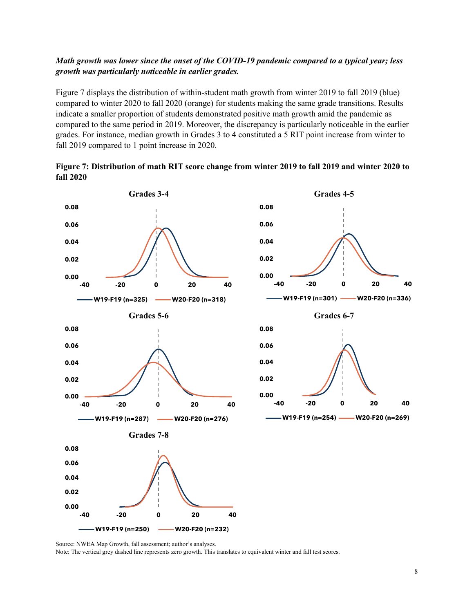## *Math growth was lower since the onset of the COVID-19 pandemic compared to a typical year; less growth was particularly noticeable in earlier grades.*

Figure 7 displays the distribution of within-student math growth from winter 2019 to fall 2019 (blue) compared to winter 2020 to fall 2020 (orange) for students making the same grade transitions. Results indicate a smaller proportion of students demonstrated positive math growth amid the pandemic as compared to the same period in 2019. Moreover, the discrepancy is particularly noticeable in the earlier grades. For instance, median growth in Grades 3 to 4 constituted a 5 RIT point increase from winter to fall 2019 compared to 1 point increase in 2020.





Source: NWEA Map Growth, fall assessment; author's analyses. Note: The vertical grey dashed line represents zero growth. This translates to equivalent winter and fall test scores.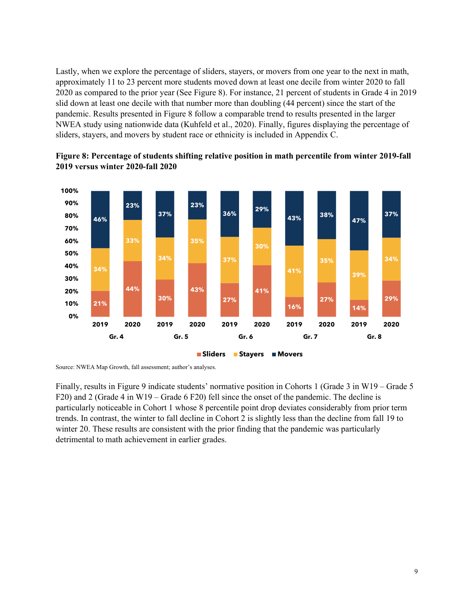Lastly, when we explore the percentage of sliders, stayers, or movers from one year to the next in math, approximately 11 to 23 percent more students moved down at least one decile from winter 2020 to fall 2020 as compared to the prior year (See Figure 8). For instance, 21 percent of students in Grade 4 in 2019 slid down at least one decile with that number more than doubling (44 percent) since the start of the pandemic. Results presented in Figure 8 follow a comparable trend to results presented in the larger NWEA study using nationwide data (Kuhfeld et al., 2020). Finally, figures displaying the percentage of sliders, stayers, and movers by student race or ethnicity is included in Appendix C.





Finally, results in Figure 9 indicate students' normative position in Cohorts 1 (Grade 3 in W19 – Grade 5 F20) and 2 (Grade 4 in W19 – Grade 6 F20) fell since the onset of the pandemic. The decline is particularly noticeable in Cohort 1 whose 8 percentile point drop deviates considerably from prior term trends. In contrast, the winter to fall decline in Cohort 2 is slightly less than the decline from fall 19 to winter 20. These results are consistent with the prior finding that the pandemic was particularly detrimental to math achievement in earlier grades.

Source: NWEA Map Growth, fall assessment; author's analyses.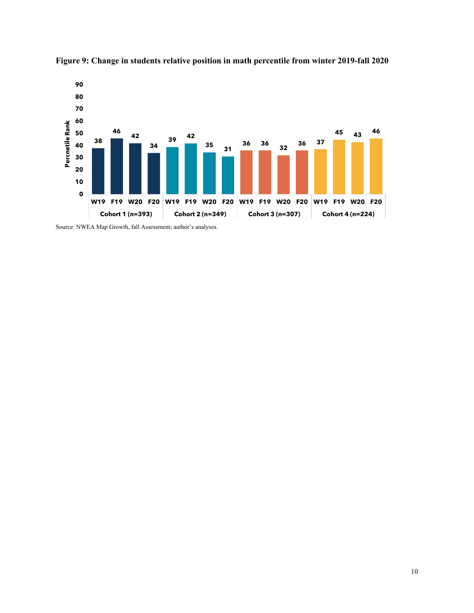

**Figure 9: Change in students relative position in math percentile from winter 2019-fall 2020**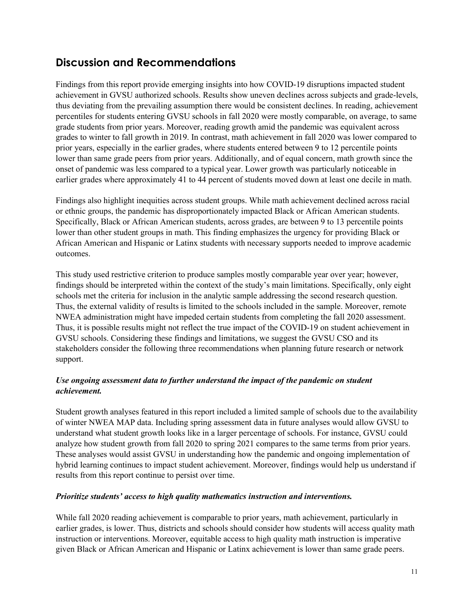## **Discussion and Recommendations**

Findings from this report provide emerging insights into how COVID-19 disruptions impacted student achievement in GVSU authorized schools. Results show uneven declines across subjects and grade-levels, thus deviating from the prevailing assumption there would be consistent declines. In reading, achievement percentiles for students entering GVSU schools in fall 2020 were mostly comparable, on average, to same grade students from prior years. Moreover, reading growth amid the pandemic was equivalent across grades to winter to fall growth in 2019. In contrast, math achievement in fall 2020 was lower compared to prior years, especially in the earlier grades, where students entered between 9 to 12 percentile points lower than same grade peers from prior years. Additionally, and of equal concern, math growth since the onset of pandemic was less compared to a typical year. Lower growth was particularly noticeable in earlier grades where approximately 41 to 44 percent of students moved down at least one decile in math.

Findings also highlight inequities across student groups. While math achievement declined across racial or ethnic groups, the pandemic has disproportionately impacted Black or African American students. Specifically, Black or African American students, across grades, are between 9 to 13 percentile points lower than other student groups in math. This finding emphasizes the urgency for providing Black or African American and Hispanic or Latinx students with necessary supports needed to improve academic outcomes.

This study used restrictive criterion to produce samples mostly comparable year over year; however, findings should be interpreted within the context of the study's main limitations. Specifically, only eight schools met the criteria for inclusion in the analytic sample addressing the second research question. Thus, the external validity of results is limited to the schools included in the sample. Moreover, remote NWEA administration might have impeded certain students from completing the fall 2020 assessment. Thus, it is possible results might not reflect the true impact of the COVID-19 on student achievement in GVSU schools. Considering these findings and limitations, we suggest the GVSU CSO and its stakeholders consider the following three recommendations when planning future research or network support.

## *Use ongoing assessment data to further understand the impact of the pandemic on student achievement.*

Student growth analyses featured in this report included a limited sample of schools due to the availability of winter NWEA MAP data. Including spring assessment data in future analyses would allow GVSU to understand what student growth looks like in a larger percentage of schools. For instance, GVSU could analyze how student growth from fall 2020 to spring 2021 compares to the same terms from prior years. These analyses would assist GVSU in understanding how the pandemic and ongoing implementation of hybrid learning continues to impact student achievement. Moreover, findings would help us understand if results from this report continue to persist over time.

## *Prioritize students' access to high quality mathematics instruction and interventions.*

While fall 2020 reading achievement is comparable to prior years, math achievement, particularly in earlier grades, is lower. Thus, districts and schools should consider how students will access quality math instruction or interventions. Moreover, equitable access to high quality math instruction is imperative given Black or African American and Hispanic or Latinx achievement is lower than same grade peers.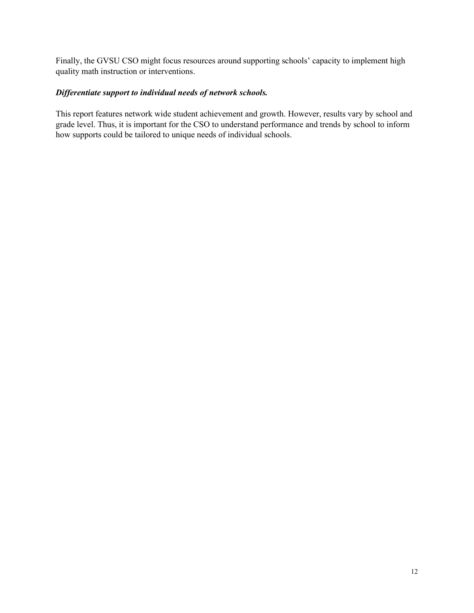Finally, the GVSU CSO might focus resources around supporting schools' capacity to implement high quality math instruction or interventions.

#### *Differentiate support to individual needs of network schools.*

This report features network wide student achievement and growth. However, results vary by school and grade level. Thus, it is important for the CSO to understand performance and trends by school to inform how supports could be tailored to unique needs of individual schools.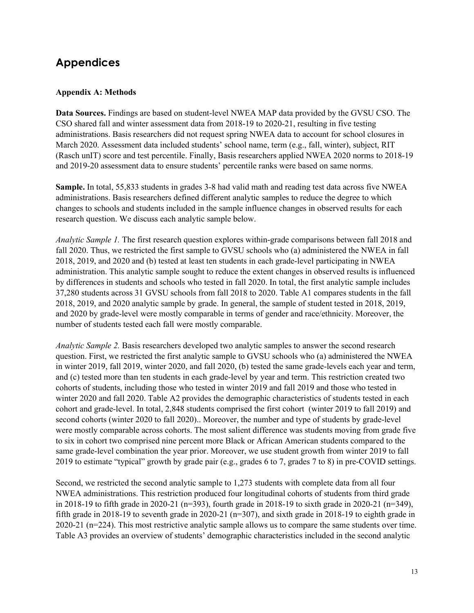# **Appendices**

## **Appendix A: Methods**

**Data Sources.** Findings are based on student-level NWEA MAP data provided by the GVSU CSO. The CSO shared fall and winter assessment data from 2018-19 to 2020-21, resulting in five testing administrations. Basis researchers did not request spring NWEA data to account for school closures in March 2020. Assessment data included students' school name, term (e.g., fall, winter), subject, RIT (Rasch unIT) score and test percentile. Finally, Basis researchers applied NWEA 2020 norms to 2018-19 and 2019-20 assessment data to ensure students' percentile ranks were based on same norms.

**Sample.** In total, 55,833 students in grades 3-8 had valid math and reading test data across five NWEA administrations. Basis researchers defined different analytic samples to reduce the degree to which changes to schools and students included in the sample influence changes in observed results for each research question. We discuss each analytic sample below.

*Analytic Sample 1.* The first research question explores within-grade comparisons between fall 2018 and fall 2020. Thus, we restricted the first sample to GVSU schools who (a) administered the NWEA in fall 2018, 2019, and 2020 and (b) tested at least ten students in each grade-level participating in NWEA administration. This analytic sample sought to reduce the extent changes in observed results is influenced by differences in students and schools who tested in fall 2020. In total, the first analytic sample includes 37,280 students across 31 GVSU schools from fall 2018 to 2020. Table A1 compares students in the fall 2018, 2019, and 2020 analytic sample by grade. In general, the sample of student tested in 2018, 2019, and 2020 by grade-level were mostly comparable in terms of gender and race/ethnicity. Moreover, the number of students tested each fall were mostly comparable.

*Analytic Sample 2.* Basis researchers developed two analytic samples to answer the second research question. First, we restricted the first analytic sample to GVSU schools who (a) administered the NWEA in winter 2019, fall 2019, winter 2020, and fall 2020, (b) tested the same grade-levels each year and term, and (c) tested more than ten students in each grade-level by year and term. This restriction created two cohorts of students, including those who tested in winter 2019 and fall 2019 and those who tested in winter 2020 and fall 2020. Table A2 provides the demographic characteristics of students tested in each cohort and grade-level. In total, 2,848 students comprised the first cohort (winter 2019 to fall 2019) and second cohorts (winter 2020 to fall 2020).. Moreover, the number and type of students by grade-level were mostly comparable across cohorts. The most salient difference was students moving from grade five to six in cohort two comprised nine percent more Black or African American students compared to the same grade-level combination the year prior. Moreover, we use student growth from winter 2019 to fall 2019 to estimate "typical" growth by grade pair (e.g., grades 6 to 7, grades 7 to 8) in pre-COVID settings.

Second, we restricted the second analytic sample to 1,273 students with complete data from all four NWEA administrations. This restriction produced four longitudinal cohorts of students from third grade in 2018-19 to fifth grade in 2020-21 (n=393), fourth grade in 2018-19 to sixth grade in 2020-21 (n=349), fifth grade in 2018-19 to seventh grade in 2020-21 ( $n=307$ ), and sixth grade in 2018-19 to eighth grade in 2020-21 (n=224). This most restrictive analytic sample allows us to compare the same students over time. Table A3 provides an overview of students' demographic characteristics included in the second analytic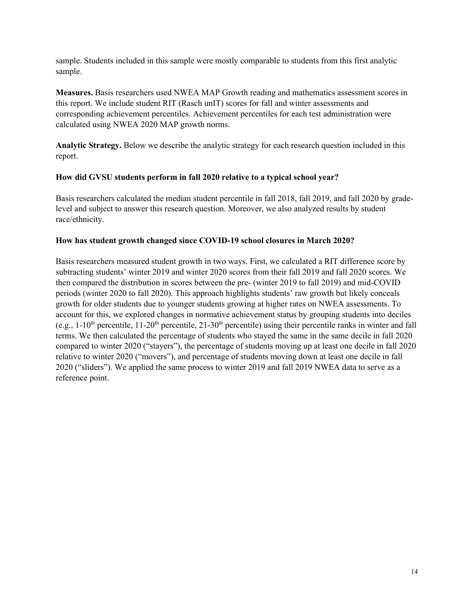sample. Students included in this sample were mostly comparable to students from this first analytic sample.

**Measures.** Basis researchers used NWEA MAP Growth reading and mathematics assessment scores in this report. We include student RIT (Rasch unIT) scores for fall and winter assessments and corresponding achievement percentiles. Achievement percentiles for each test administration were calculated using NWEA 2020 MAP growth norms.

**Analytic Strategy.** Below we describe the analytic strategy for each research question included in this report.

## **How did GVSU students perform in fall 2020 relative to a typical school year?**

Basis researchers calculated the median student percentile in fall 2018, fall 2019, and fall 2020 by gradelevel and subject to answer this research question. Moreover, we also analyzed results by student race/ethnicity.

#### **How has student growth changed since COVID-19 school closures in March 2020?**

Basis researchers measured student growth in two ways. First, we calculated a RIT difference score by subtracting students' winter 2019 and winter 2020 scores from their fall 2019 and fall 2020 scores. We then compared the distribution in scores between the pre- (winter 2019 to fall 2019) and mid-COVID periods (winter 2020 to fall 2020). This approach highlights students' raw growth but likely conceals growth for older students due to younger students growing at higher rates on NWEA assessments. To account for this, we explored changes in normative achievement status by grouping students into deciles (e.g.,  $1-10^{th}$  percentile,  $11-20^{th}$  percentile,  $21-30^{th}$  percentile) using their percentile ranks in winter and fall terms. We then calculated the percentage of students who stayed the same in the same decile in fall 2020 compared to winter 2020 ("stayers"), the percentage of students moving up at least one decile in fall 2020 relative to winter 2020 ("movers"), and percentage of students moving down at least one decile in fall 2020 ("sliders"). We applied the same process to winter 2019 and fall 2019 NWEA data to serve as a reference point.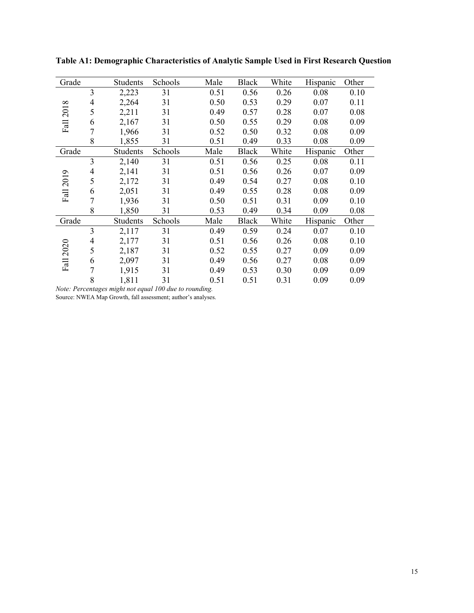| Grade                   |   | <b>Students</b> | Schools | Male | Black        | White | Hispanic | Other |
|-------------------------|---|-----------------|---------|------|--------------|-------|----------|-------|
| $\infty$<br>201<br>Fall | 3 | 2,223           | 31      | 0.51 | 0.56         | 0.26  | 0.08     | 0.10  |
|                         | 4 | 2,264           | 31      | 0.50 | 0.53         | 0.29  | 0.07     | 0.11  |
|                         | 5 | 2,211           | 31      | 0.49 | 0.57         | 0.28  | 0.07     | 0.08  |
|                         | 6 | 2,167           | 31      | 0.50 | 0.55         | 0.29  | 0.08     | 0.09  |
|                         |   | 1,966           | 31      | 0.52 | 0.50         | 0.32  | 0.08     | 0.09  |
|                         | 8 | 1,855           | 31      | 0.51 | 0.49         | 0.33  | 0.08     | 0.09  |
| Grade                   |   | <b>Students</b> | Schools | Male | Black        | White | Hispanic | Other |
| $\circ$<br>201<br>Fall  | 3 | 2,140           | 31      | 0.51 | 0.56         | 0.25  | 0.08     | 0.11  |
|                         | 4 | 2,141           | 31      | 0.51 | 0.56         | 0.26  | 0.07     | 0.09  |
|                         | 5 | 2,172           | 31      | 0.49 | 0.54         | 0.27  | 0.08     | 0.10  |
|                         | 6 | 2,051           | 31      | 0.49 | 0.55         | 0.28  | 0.08     | 0.09  |
|                         | 7 | 1,936           | 31      | 0.50 | 0.51         | 0.31  | 0.09     | 0.10  |
|                         | 8 | 1,850           | 31      | 0.53 | 0.49         | 0.34  | 0.09     | 0.08  |
| Grade                   |   | <b>Students</b> | Schools | Male | <b>Black</b> | White | Hispanic | Other |
|                         | 3 | 2,117           | 31      | 0.49 | 0.59         | 0.24  | 0.07     | 0.10  |
| 2020<br>Fall            | 4 | 2,177           | 31      | 0.51 | 0.56         | 0.26  | 0.08     | 0.10  |
|                         | 5 | 2,187           | 31      | 0.52 | 0.55         | 0.27  | 0.09     | 0.09  |
|                         | 6 | 2,097           | 31      | 0.49 | 0.56         | 0.27  | 0.08     | 0.09  |
|                         | 7 | 1,915           | 31      | 0.49 | 0.53         | 0.30  | 0.09     | 0.09  |
|                         | 8 | 1,811           | 31      | 0.51 | 0.51         | 0.31  | 0.09     | 0.09  |

**Table A1: Demographic Characteristics of Analytic Sample Used in First Research Question**

*Note: Percentages might not equal 100 due to rounding.* Source: NWEA Map Growth, fall assessment; author's analyses.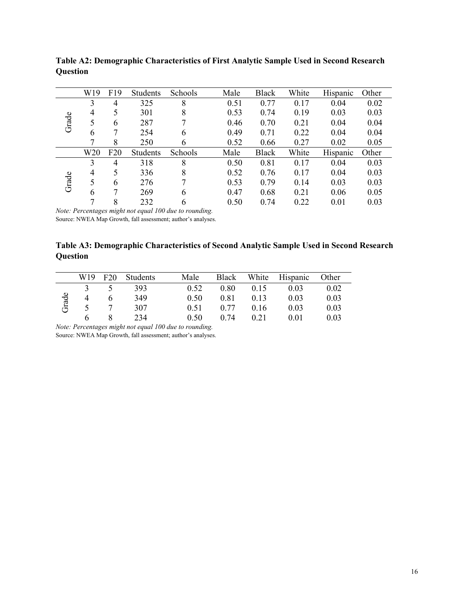|       | W19 | F <sub>19</sub> | <b>Students</b> | Schools | Male | <b>Black</b> | White | Hispanic | Other |
|-------|-----|-----------------|-----------------|---------|------|--------------|-------|----------|-------|
|       | 3   | 4               | 325             | 8       | 0.51 | 0.77         | 0.17  | 0.04     | 0.02  |
|       | 4   | 5               | 301             | 8       | 0.53 | 0.74         | 0.19  | 0.03     | 0.03  |
| Grade | 5   | 6               | 287             | 7       | 0.46 | 0.70         | 0.21  | 0.04     | 0.04  |
|       | 6   |                 | 254             | 6       | 0.49 | 0.71         | 0.22  | 0.04     | 0.04  |
|       | ┑   | 8               | 250             | 6       | 0.52 | 0.66         | 0.27  | 0.02     | 0.05  |
|       | W20 | F20             | Students        | Schools | Male | <b>Black</b> | White | Hispanic | Other |
|       | 3   | 4               | 318             | 8       | 0.50 | 0.81         | 0.17  | 0.04     | 0.03  |
|       | 4   | 5               | 336             | 8       | 0.52 | 0.76         | 0.17  | 0.04     | 0.03  |
| Grade | 5   | 6               | 276             | 7       | 0.53 | 0.79         | 0.14  | 0.03     | 0.03  |
|       | 6   |                 | 269             | 6       | 0.47 | 0.68         | 0.21  | 0.06     | 0.05  |
|       |     | 8               | 232             | 6       | 0.50 | 0.74         | 0.22  | 0.01     | 0.03  |

**Table A2: Demographic Characteristics of First Analytic Sample Used in Second Research Question**

*Note: Percentages might not equal 100 due to rounding.* Source: NWEA Map Growth, fall assessment; author's analyses.

**Table A3: Demographic Characteristics of Second Analytic Sample Used in Second Research Question**

|       | W19 | F20 | Students | Male | Black | White | Hispanic | Other |
|-------|-----|-----|----------|------|-------|-------|----------|-------|
|       |     |     | 393      | 0.52 | 0.80  | 0.15  | 0.03     | 0.02  |
| Grade |     |     | 349      | 0.50 | 0.81  | 0.13  | 0.03     | 0.03  |
|       |     |     | 307      | 0.51 | 0.77  | 0.16  | 0.03     | 0.03  |
|       |     |     | 234      | 0.50 | 0.74  | 0.21  | 0.01     | 0.03  |

*Note: Percentages might not equal 100 due to rounding.* Source: NWEA Map Growth, fall assessment; author's analyses.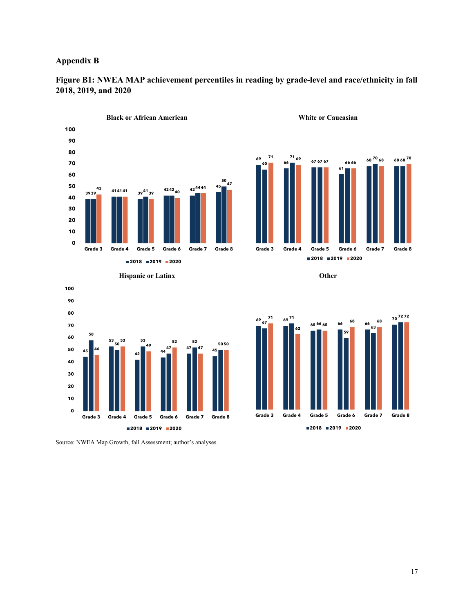#### **Appendix B**



**Figure B1: NWEA MAP achievement percentiles in reading by grade-level and race/ethnicity in fall 2018, 2019, and 2020** 









Source: NWEA Map Growth, fall Assessment; author's analyses.

**2019 2020**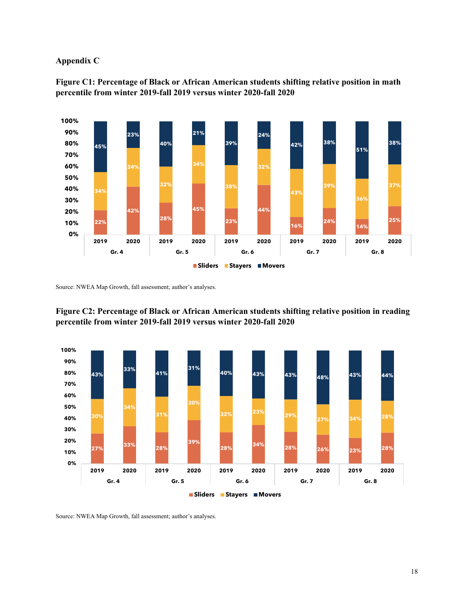#### **Appendix C**



**Figure C1: Percentage of Black or African American students shifting relative position in math percentile from winter 2019-fall 2019 versus winter 2020-fall 2020**

Source: NWEA Map Growth, fall assessment; author's analyses.



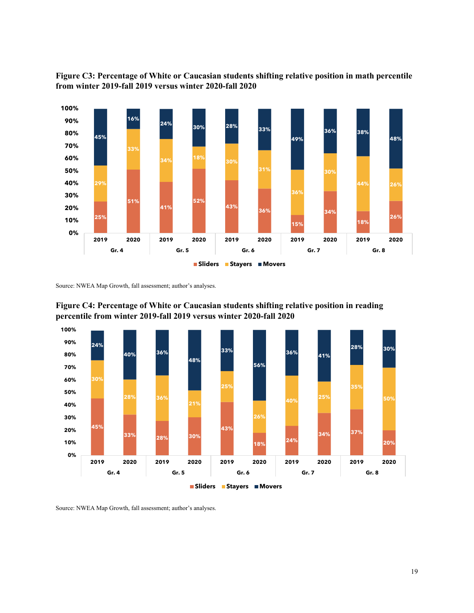

**Figure C3: Percentage of White or Caucasian students shifting relative position in math percentile from winter 2019-fall 2019 versus winter 2020-fall 2020** 

Source: NWEA Map Growth, fall assessment; author's analyses.



**Figure C4: Percentage of White or Caucasian students shifting relative position in reading percentile from winter 2019-fall 2019 versus winter 2020-fall 2020**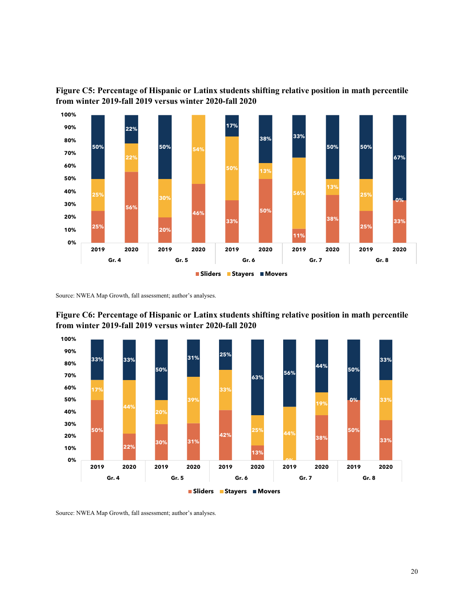

**Figure C5: Percentage of Hispanic or Latinx students shifting relative position in math percentile from winter 2019-fall 2019 versus winter 2020-fall 2020** 

Source: NWEA Map Growth, fall assessment; author's analyses.



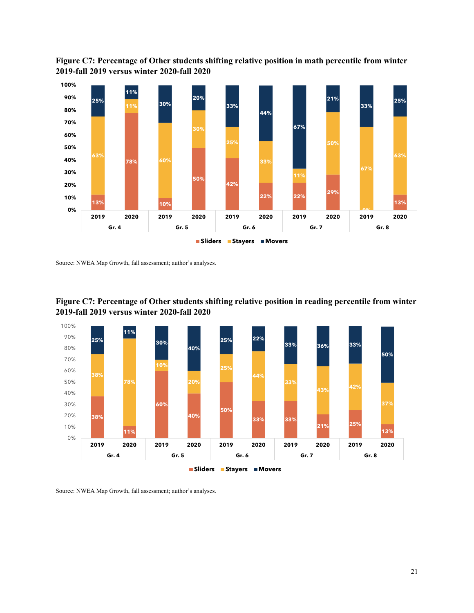



Source: NWEA Map Growth, fall assessment; author's analyses.



**Figure C7: Percentage of Other students shifting relative position in reading percentile from winter 2019-fall 2019 versus winter 2020-fall 2020**